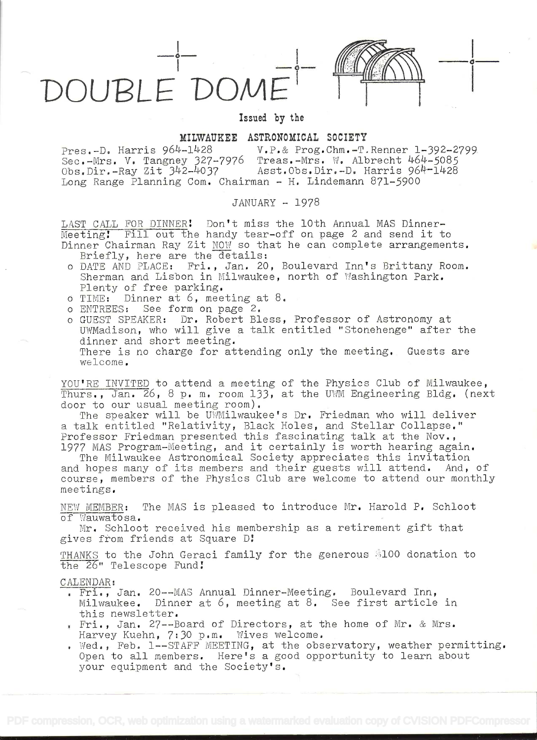



Issued by the

MILWAUKEE ASTRONOMICAL SOCIETY<br>+-1428 V.P.& Prog.Chm.-T.Renner 1-392-2799 Pres.-D. Harris 964-1428 V.P.& Prog.Chm.-T.Renner 1-392-2799 Sec.-Mrs. V. Tangney 327-7976 Treas.-Mrs. W. Albrecht 464-5085 Obs.Dir.-Ray Zit 342-4037 Asst.Obs.Dir.-D. Harris 964-1428 Long Range Planning Com. Chairman - H. Lindemann 871-5900

JANUARY - 1978

LAST CALL FOR DINNER! Don't miss the 10th Annual MAS Dinner-Meeting! Fill out the handy tear-off on page 2 and send it to Dinner Chairman Ray Zit  $MOW$  so that he can complete arrangements.<br>Briefly, here are the details:

- <sup>o</sup>DATE AND PLACE: Fri., Jan. 20, Boulevard Inn's Brittany Room. Sherman and Lisbon in Milwaukee, north of Washington Park. Plenty of free parking.
- o TIME: Dinner  $a_t$  6, meeting at 8.<br>o ENTREES: See form on page 2.
- See form on page 2.
- <sup>o</sup>GUEST SPEAKER: Dr. Robert Bless, Professor of Astronomy at UWMadison, who will give a talk entitled "Stonehenge" after the There is no charge for attending only the meeting. Guests are welcome.

YOU'RE INVITED to attend a meeting of the Physics Club of Milwaukee, Thurs,, Jan. 26, 8 p. m. room 133, at the UWM Engineering Bldg. (next door to our usual meeting room).

The speaker will be UWMilwaukee's Dr. Friedman who will deliver <sup>a</sup>talk entitled "Relativity, Black Holes, and Stellar Collapse." Professor Friedman presented this fascinating talk at the Nov., 1977 MAS Program-Meeting, and it certainly is worth hearing again.

The Milwaukee Astronomical Society appreciates this invitation and hopes many of its members and their guests will attend. And, of course, members of the Physics Club are welcome to attend our monthly meetings.

NEW MEMBER: The MAS is pleased to introduce Mr. Harold P. Schloot of Wauwatosa.

Mr. Schloot received his membership as a retirement gift that gives from friends at Square D!

THANKS to the John Geraci family for the generous »lOO donation to the 26" Telescope Fund!

CALENDAR:

- . Fri., Jan. 20--MAS Annual Dinner-Meeting. Boulevard Inn, Milwaukee. Dinner at 6, meeting at 8. See first article in this newsletter.
- Fri., Jan. 27--Board of Directors, at the home of Mr. & Mrs. Harvey Kuehn, 7:30 p.m. Wives welcome.
- . Wed., Feb.  $1--STATE$  MEETING, at the observatory, weather permitting. Open to all members. Here's a good opportunity to learn about your equipment and the Society's.